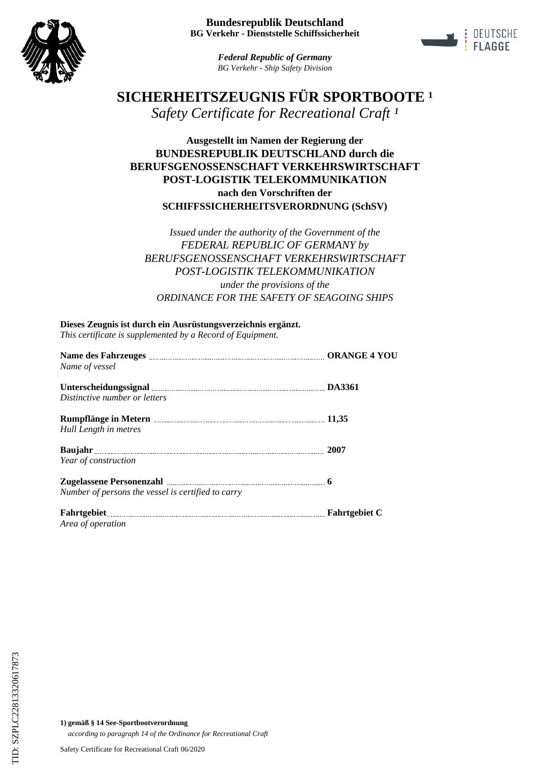



*Federal Republic of Germany BG Verkehr - Ship Safety Division*

# **SICHERHEITSZEUGNIS FÜR SPORTBOOTE<sup>1</sup>** *Safety Certificate for Recreational Craft ¹*

# **Ausgestellt im Namen der Regierung der BUNDESREPUBLIK DEUTSCHLAND durch die BERUFSGENOSSENSCHAFT VERKEHRSWIRTSCHAFT POST-LOGISTIK TELEKOMMUNIKATION nach den Vorschriften der SCHIFFSSICHERHEITSVERORDNUNG (SchSV)**

*Issued under the authority of the Government of the FEDERAL REPUBLIC OF GERMANY by BERUFSGENOSSENSCHAFT VERKEHRSWIRTSCHAFT POST-LOGISTIK TELEKOMMUNIKATION under the provisions of the ORDINANCE FOR THE SAFETY OF SEAGOING SHIPS*

**Dieses Zeugnis ist durch ein Ausrüstungsverzeichnis ergänzt.** *This certificate is supplemented by a Record of Equipment.*

| Name des Fahrzeuges <b>Election Construction CORANGE 4 YOU</b> |                      |
|----------------------------------------------------------------|----------------------|
| Name of vessel                                                 |                      |
|                                                                | <b>DA3361</b>        |
| Distinctive number or letters                                  |                      |
|                                                                | 11,35                |
| Hull Length in metres                                          |                      |
| Baujahr 2007                                                   |                      |
| Year of construction                                           |                      |
| Zugelassene Personenzahl                                       |                      |
| Number of persons the vessel is certified to carry             |                      |
|                                                                | <b>Fahrtgebiet C</b> |
| Area of operation                                              |                      |

**1) gemäß § 14 See-Sportbootverordnung** *according to paragraph 14 of the Ordinance for Recreational Craft*

Safety Certificate for Recreational Craft 06/2020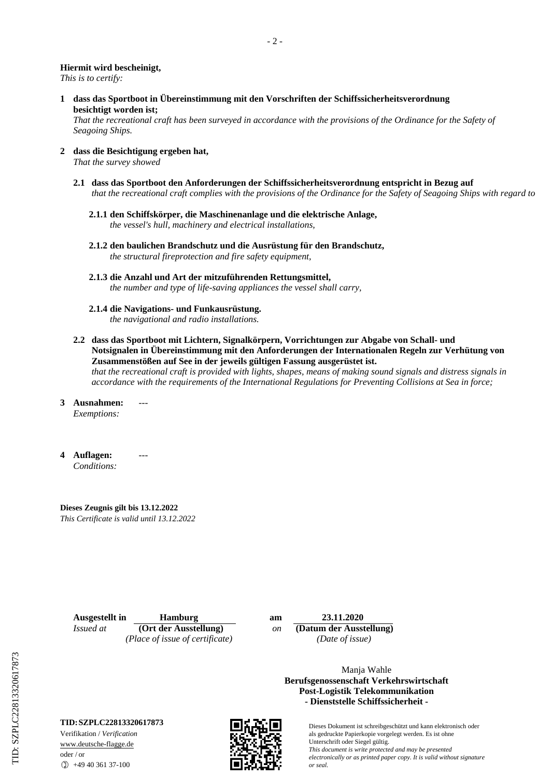### **Hiermit wird bescheinigt,**

*This is to certify:*

**1 dass das Sportboot in Übereinstimmung mit den Vorschriften der Schiffssicherheitsverordnung besichtigt worden ist;**

*That the recreational craft has been surveyed in accordance with the provisions of the Ordinance for the Safety of Seagoing Ships.*

- **2 dass die Besichtigung ergeben hat,** *That the survey showed*
	- **2.1 dass das Sportboot den Anforderungen der Schiffssicherheitsverordnung entspricht in Bezug auf** *that the recreational craft complies with the provisions of the Ordinance for the Safety of Seagoing Ships with regard to*
		- **2.1.1 den Schiffskörper, die Maschinenanlage und die elektrische Anlage,** *the vessel's hull, machinery and electrical installations,*
		- **2.1.2 den baulichen Brandschutz und die Ausrüstung für den Brandschutz,** *the structural fireprotection and fire safety equipment,*
		- **2.1.3 die Anzahl und Art der mitzuführenden Rettungsmittel,** *the number and type of life-saving appliances the vessel shall carry,*
		- **2.1.4 die Navigations- und Funkausrüstung.** *the navigational and radio installations.*
	- **2.2 dass das Sportboot mit Lichtern, Signalkörpern, Vorrichtungen zur Abgabe von Schall- und Notsignalen in Übereinstimmung mit den Anforderungen der Internationalen Regeln zur Verhütung von Zusammenstößen auf See in der jeweils gültigen Fassung ausgerüstet ist.** *that the recreational craft is provided with lights, shapes, means of making sound signals and distress signals in accordance with the requirements of the International Regulations for Preventing Collisions at Sea in force;*
- **3 Ausnahmen:** *Exemptions:* ---
- **4 Auflagen:** *Conditions:*

**Dieses Zeugnis gilt bis 13.12.2022** *This Certificate is valid until 13.12.2022*

---

**Ausgestellt in Hamburg am 23.11.2020**<br>*Issued at* **(Ort der Ausstellung)** *on* **Datum der Ausst** *(Place of issue of certificate) (Date of issue)*

*Issued at* **(Ort der Ausstellung)** *on* **(Datum der Ausstellung)**

Manja Wahle **Berufsgenossenschaft Verkehrswirtschaft Post-Logistik Telekommunikation - Dienststelle Schiffssicherheit -**

> Dieses Dokument ist schreibgeschützt und kann elektronisch oder als gedruckte Papierkopie vorgelegt werden. Es ist ohne Unterschrift oder Siegel gültig. *This document is write protected and may be presented electronically or as printed paper copy. It is valid without signature or seal.*

### **TID:SZPLC22813320617873**

Verifikation / *Verification* www.deutsche-flagge.de oder / or

 $\circled{1}$  +49 40 361 37-100

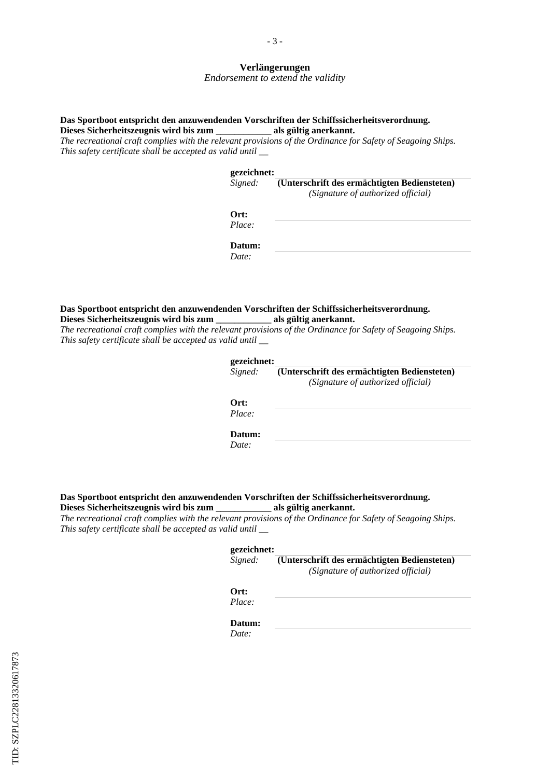### **Verlängerungen**

*Endorsement to extend the validity*

### **Das Sportboot entspricht den anzuwendenden Vorschriften der Schiffssicherheitsverordnung. Dieses Sicherheitszeugnis wird bis zum \_\_\_\_\_\_\_\_\_\_\_\_ als gültig anerkannt.**

*The recreational craft complies with the relevant provisions of the Ordinance for Safety of Seagoing Ships. This safety certificate shall be accepted as valid until \_\_*

#### **gezeichnet:**

| Signed: | (Unterschrift des ermächtigten Bediensteten) |
|---------|----------------------------------------------|
|         | (Signature of authorized official)           |
| Ort:    |                                              |
| Place:  |                                              |
|         |                                              |
| Datum:  |                                              |
| Date:   |                                              |

#### **Das Sportboot entspricht den anzuwendenden Vorschriften der Schiffssicherheitsverordnung.** Dieses Sicherheitszeugnis wird bis zum als gültig anerkannt.

*The recreational craft complies with the relevant provisions of the Ordinance for Safety of Seagoing Ships. This safety certificate shall be accepted as valid until \_\_*

| gezeichnet:                                  |
|----------------------------------------------|
| (Unterschrift des ermächtigten Bediensteten) |
| (Signature of authorized official)           |
|                                              |
|                                              |
|                                              |
|                                              |
|                                              |

# **Das Sportboot entspricht den anzuwendenden Vorschriften der Schiffssicherheitsverordnung.** Dieses Sicherheitszeugnis wird bis zum als gültig anerkannt.

*The recreational craft complies with the relevant provisions of the Ordinance for Safety of Seagoing Ships. This safety certificate shall be accepted as valid until \_\_*

#### **gezeichnet:**

**(Unterschrift des ermächtigten Bediensteten)** *Signed: (Signature of authorized official)*

## **Ort:**

*Place:*

# **Datum:**

*Date:*